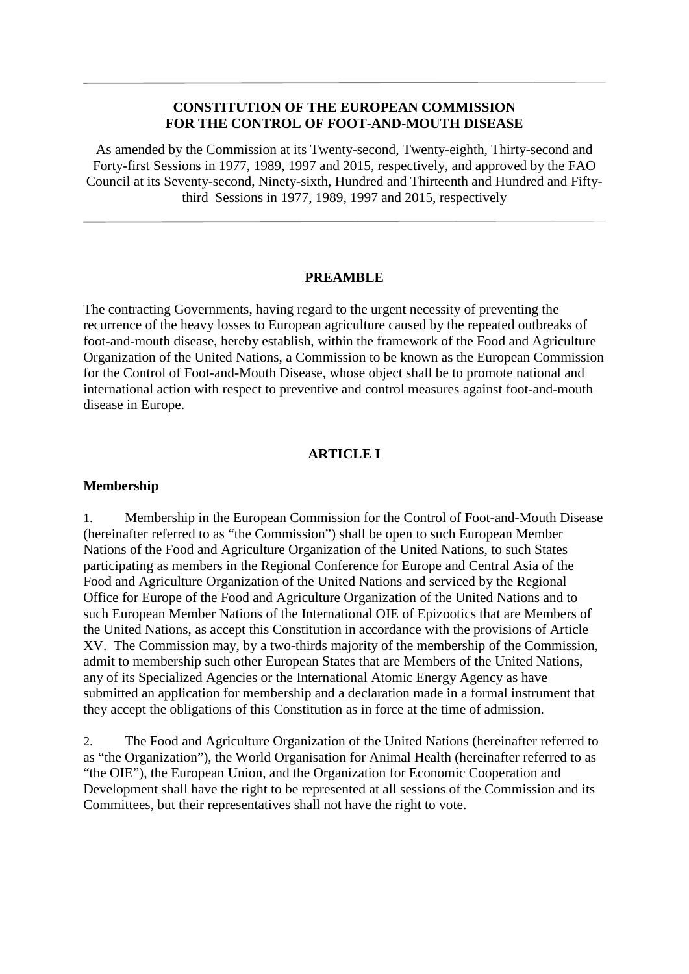#### **CONSTITUTION OF THE EUROPEAN COMMISSION FOR THE CONTROL OF FOOT-AND-MOUTH DISEASE**

As amended by the Commission at its Twenty-second, Twenty-eighth, Thirty-second and Forty-first Sessions in 1977, 1989, 1997 and 2015, respectively, and approved by the FAO Council at its Seventy-second, Ninety-sixth, Hundred and Thirteenth and Hundred and Fiftythird Sessions in 1977, 1989, 1997 and 2015, respectively

#### **PREAMBLE**

The contracting Governments, having regard to the urgent necessity of preventing the recurrence of the heavy losses to European agriculture caused by the repeated outbreaks of foot-and-mouth disease, hereby establish, within the framework of the Food and Agriculture Organization of the United Nations, a Commission to be known as the European Commission for the Control of Foot-and-Mouth Disease, whose object shall be to promote national and international action with respect to preventive and control measures against foot-and-mouth disease in Europe.

#### **ARTICLE I**

#### **Membership**

1. Membership in the European Commission for the Control of Foot-and-Mouth Disease (hereinafter referred to as "the Commission") shall be open to such European Member Nations of the Food and Agriculture Organization of the United Nations, to such States participating as members in the Regional Conference for Europe and Central Asia of the Food and Agriculture Organization of the United Nations and serviced by the Regional Office for Europe of the Food and Agriculture Organization of the United Nations and to such European Member Nations of the International OIE of Epizootics that are Members of the United Nations, as accept this Constitution in accordance with the provisions of Article XV. The Commission may, by a two-thirds majority of the membership of the Commission, admit to membership such other European States that are Members of the United Nations, any of its Specialized Agencies or the International Atomic Energy Agency as have submitted an application for membership and a declaration made in a formal instrument that they accept the obligations of this Constitution as in force at the time of admission.

2. The Food and Agriculture Organization of the United Nations (hereinafter referred to as "the Organization"), the World Organisation for Animal Health (hereinafter referred to as "the OIE"), the European Union, and the Organization for Economic Cooperation and Development shall have the right to be represented at all sessions of the Commission and its Committees, but their representatives shall not have the right to vote.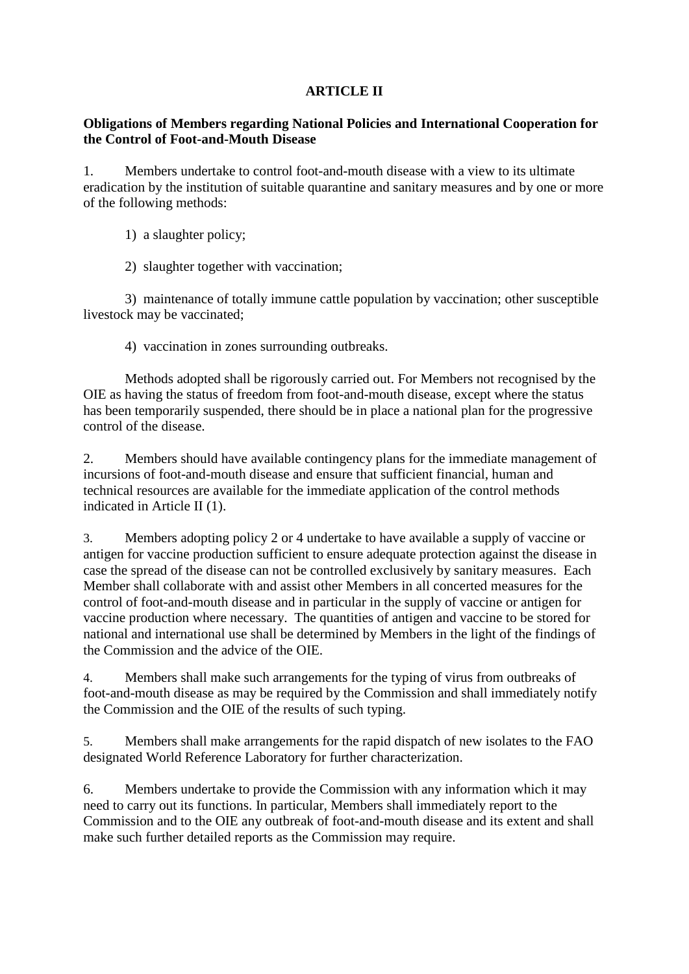## **ARTICLE II**

### **Obligations of Members regarding National Policies and International Cooperation for the Control of Foot-and-Mouth Disease**

1. Members undertake to control foot-and-mouth disease with a view to its ultimate eradication by the institution of suitable quarantine and sanitary measures and by one or more of the following methods:

1) a slaughter policy;

2) slaughter together with vaccination;

3) maintenance of totally immune cattle population by vaccination; other susceptible livestock may be vaccinated;

4) vaccination in zones surrounding outbreaks.

Methods adopted shall be rigorously carried out. For Members not recognised by the OIE as having the status of freedom from foot-and-mouth disease, except where the status has been temporarily suspended, there should be in place a national plan for the progressive control of the disease.

2. Members should have available contingency plans for the immediate management of incursions of foot-and-mouth disease and ensure that sufficient financial, human and technical resources are available for the immediate application of the control methods indicated in Article II (1).

3. Members adopting policy 2 or 4 undertake to have available a supply of vaccine or antigen for vaccine production sufficient to ensure adequate protection against the disease in case the spread of the disease can not be controlled exclusively by sanitary measures. Each Member shall collaborate with and assist other Members in all concerted measures for the control of foot-and-mouth disease and in particular in the supply of vaccine or antigen for vaccine production where necessary. The quantities of antigen and vaccine to be stored for national and international use shall be determined by Members in the light of the findings of the Commission and the advice of the OIE.

4. Members shall make such arrangements for the typing of virus from outbreaks of foot-and-mouth disease as may be required by the Commission and shall immediately notify the Commission and the OIE of the results of such typing.

5. Members shall make arrangements for the rapid dispatch of new isolates to the FAO designated World Reference Laboratory for further characterization.

6. Members undertake to provide the Commission with any information which it may need to carry out its functions. In particular, Members shall immediately report to the Commission and to the OIE any outbreak of foot-and-mouth disease and its extent and shall make such further detailed reports as the Commission may require.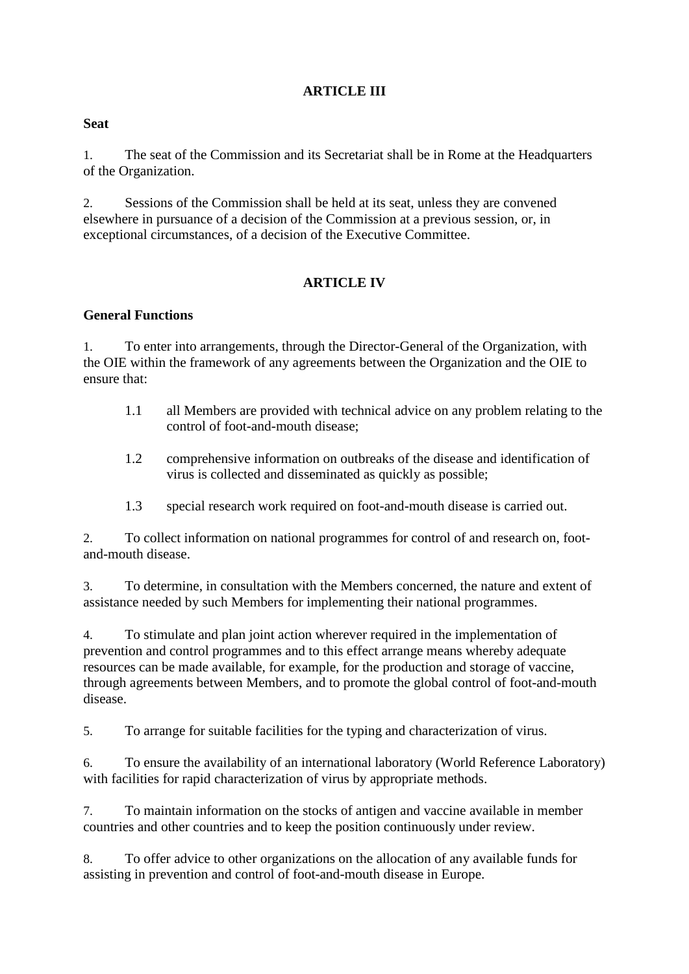## **ARTICLE III**

### **Seat**

1. The seat of the Commission and its Secretariat shall be in Rome at the Headquarters of the Organization.

2. Sessions of the Commission shall be held at its seat, unless they are convened elsewhere in pursuance of a decision of the Commission at a previous session, or, in exceptional circumstances, of a decision of the Executive Committee.

## **ARTICLE IV**

### **General Functions**

1. To enter into arrangements, through the Director-General of the Organization, with the OIE within the framework of any agreements between the Organization and the OIE to ensure that:

- 1.1 all Members are provided with technical advice on any problem relating to the control of foot-and-mouth disease;
- 1.2 comprehensive information on outbreaks of the disease and identification of virus is collected and disseminated as quickly as possible;
- 1.3 special research work required on foot-and-mouth disease is carried out.

2. To collect information on national programmes for control of and research on, footand-mouth disease.

3. To determine, in consultation with the Members concerned, the nature and extent of assistance needed by such Members for implementing their national programmes.

4. To stimulate and plan joint action wherever required in the implementation of prevention and control programmes and to this effect arrange means whereby adequate resources can be made available, for example, for the production and storage of vaccine, through agreements between Members, and to promote the global control of foot-and-mouth disease.

5. To arrange for suitable facilities for the typing and characterization of virus.

6. To ensure the availability of an international laboratory (World Reference Laboratory) with facilities for rapid characterization of virus by appropriate methods.

7. To maintain information on the stocks of antigen and vaccine available in member countries and other countries and to keep the position continuously under review.

8. To offer advice to other organizations on the allocation of any available funds for assisting in prevention and control of foot-and-mouth disease in Europe.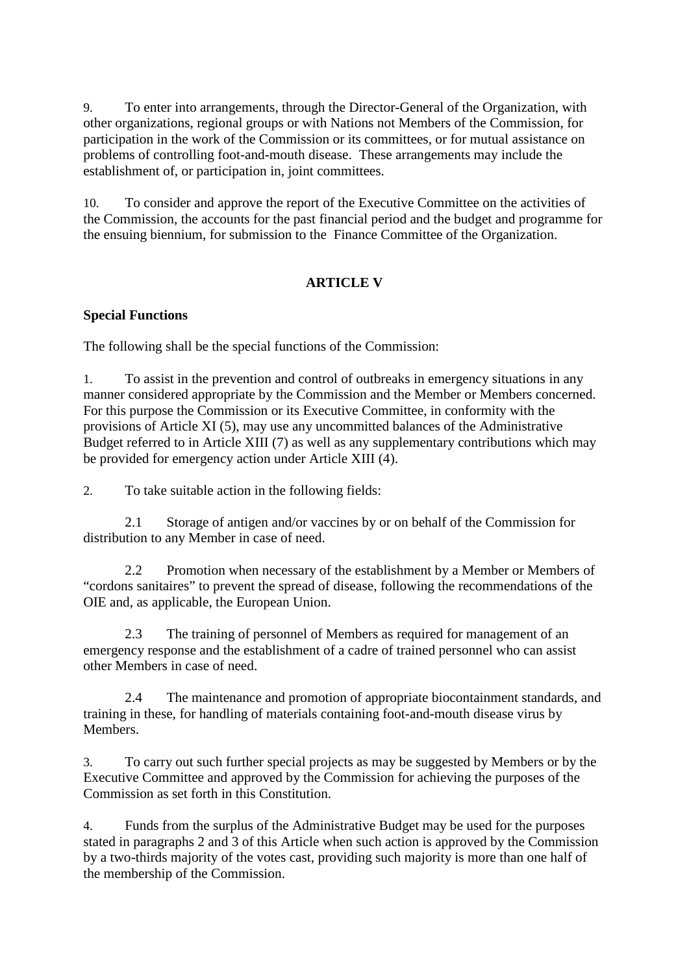9. To enter into arrangements, through the Director-General of the Organization, with other organizations, regional groups or with Nations not Members of the Commission, for participation in the work of the Commission or its committees, or for mutual assistance on problems of controlling foot-and-mouth disease. These arrangements may include the establishment of, or participation in, joint committees.

10. To consider and approve the report of the Executive Committee on the activities of the Commission, the accounts for the past financial period and the budget and programme for the ensuing biennium, for submission to the Finance Committee of the Organization.

# **ARTICLE V**

### **Special Functions**

The following shall be the special functions of the Commission:

1. To assist in the prevention and control of outbreaks in emergency situations in any manner considered appropriate by the Commission and the Member or Members concerned. For this purpose the Commission or its Executive Committee, in conformity with the provisions of Article XI (5), may use any uncommitted balances of the Administrative Budget referred to in Article XIII (7) as well as any supplementary contributions which may be provided for emergency action under Article XIII (4).

2. To take suitable action in the following fields:

2.1 Storage of antigen and/or vaccines by or on behalf of the Commission for distribution to any Member in case of need.

2.2 Promotion when necessary of the establishment by a Member or Members of "cordons sanitaires" to prevent the spread of disease, following the recommendations of the OIE and, as applicable, the European Union.

2.3 The training of personnel of Members as required for management of an emergency response and the establishment of a cadre of trained personnel who can assist other Members in case of need.

2.4 The maintenance and promotion of appropriate biocontainment standards, and training in these, for handling of materials containing foot-and-mouth disease virus by Members.

3. To carry out such further special projects as may be suggested by Members or by the Executive Committee and approved by the Commission for achieving the purposes of the Commission as set forth in this Constitution.

4. Funds from the surplus of the Administrative Budget may be used for the purposes stated in paragraphs 2 and 3 of this Article when such action is approved by the Commission by a two-thirds majority of the votes cast, providing such majority is more than one half of the membership of the Commission.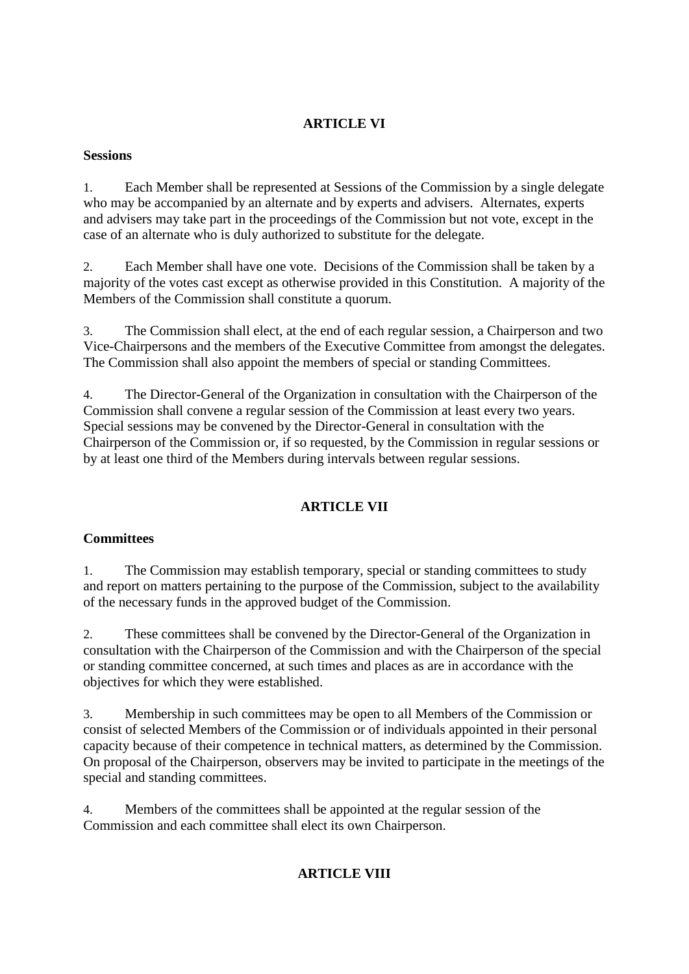## **ARTICLE VI**

## **Sessions**

1. Each Member shall be represented at Sessions of the Commission by a single delegate who may be accompanied by an alternate and by experts and advisers. Alternates, experts and advisers may take part in the proceedings of the Commission but not vote, except in the case of an alternate who is duly authorized to substitute for the delegate.

2. Each Member shall have one vote. Decisions of the Commission shall be taken by a majority of the votes cast except as otherwise provided in this Constitution. A majority of the Members of the Commission shall constitute a quorum.

3. The Commission shall elect, at the end of each regular session, a Chairperson and two Vice-Chairpersons and the members of the Executive Committee from amongst the delegates. The Commission shall also appoint the members of special or standing Committees.

4. The Director-General of the Organization in consultation with the Chairperson of the Commission shall convene a regular session of the Commission at least every two years. Special sessions may be convened by the Director-General in consultation with the Chairperson of the Commission or, if so requested, by the Commission in regular sessions or by at least one third of the Members during intervals between regular sessions.

# **ARTICLE VII**

## **Committees**

1. The Commission may establish temporary, special or standing committees to study and report on matters pertaining to the purpose of the Commission, subject to the availability of the necessary funds in the approved budget of the Commission.

2. These committees shall be convened by the Director-General of the Organization in consultation with the Chairperson of the Commission and with the Chairperson of the special or standing committee concerned, at such times and places as are in accordance with the objectives for which they were established.

3. Membership in such committees may be open to all Members of the Commission or consist of selected Members of the Commission or of individuals appointed in their personal capacity because of their competence in technical matters, as determined by the Commission. On proposal of the Chairperson, observers may be invited to participate in the meetings of the special and standing committees.

4. Members of the committees shall be appointed at the regular session of the Commission and each committee shall elect its own Chairperson.

# **ARTICLE VIII**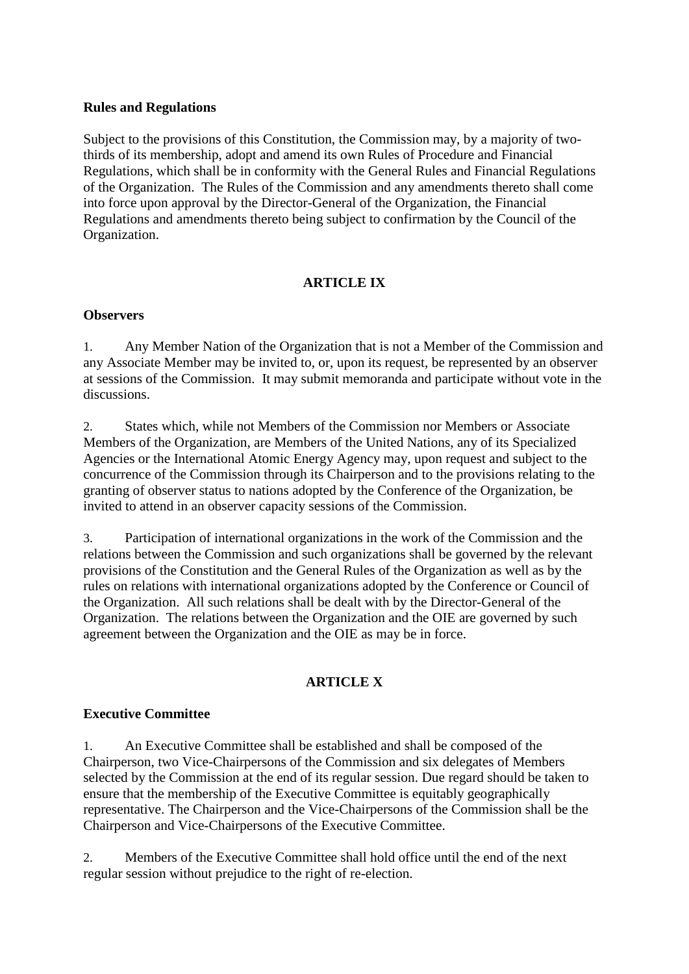#### **Rules and Regulations**

Subject to the provisions of this Constitution, the Commission may, by a majority of twothirds of its membership, adopt and amend its own Rules of Procedure and Financial Regulations, which shall be in conformity with the General Rules and Financial Regulations of the Organization. The Rules of the Commission and any amendments thereto shall come into force upon approval by the Director-General of the Organization, the Financial Regulations and amendments thereto being subject to confirmation by the Council of the Organization.

## **ARTICLE IX**

#### **Observers**

1. Any Member Nation of the Organization that is not a Member of the Commission and any Associate Member may be invited to, or, upon its request, be represented by an observer at sessions of the Commission. It may submit memoranda and participate without vote in the discussions.

2. States which, while not Members of the Commission nor Members or Associate Members of the Organization, are Members of the United Nations, any of its Specialized Agencies or the International Atomic Energy Agency may, upon request and subject to the concurrence of the Commission through its Chairperson and to the provisions relating to the granting of observer status to nations adopted by the Conference of the Organization, be invited to attend in an observer capacity sessions of the Commission.

3. Participation of international organizations in the work of the Commission and the relations between the Commission and such organizations shall be governed by the relevant provisions of the Constitution and the General Rules of the Organization as well as by the rules on relations with international organizations adopted by the Conference or Council of the Organization. All such relations shall be dealt with by the Director-General of the Organization. The relations between the Organization and the OIE are governed by such agreement between the Organization and the OIE as may be in force.

## **ARTICLE X**

#### **Executive Committee**

1. An Executive Committee shall be established and shall be composed of the Chairperson, two Vice-Chairpersons of the Commission and six delegates of Members selected by the Commission at the end of its regular session. Due regard should be taken to ensure that the membership of the Executive Committee is equitably geographically representative. The Chairperson and the Vice-Chairpersons of the Commission shall be the Chairperson and Vice-Chairpersons of the Executive Committee.

2. Members of the Executive Committee shall hold office until the end of the next regular session without prejudice to the right of re-election.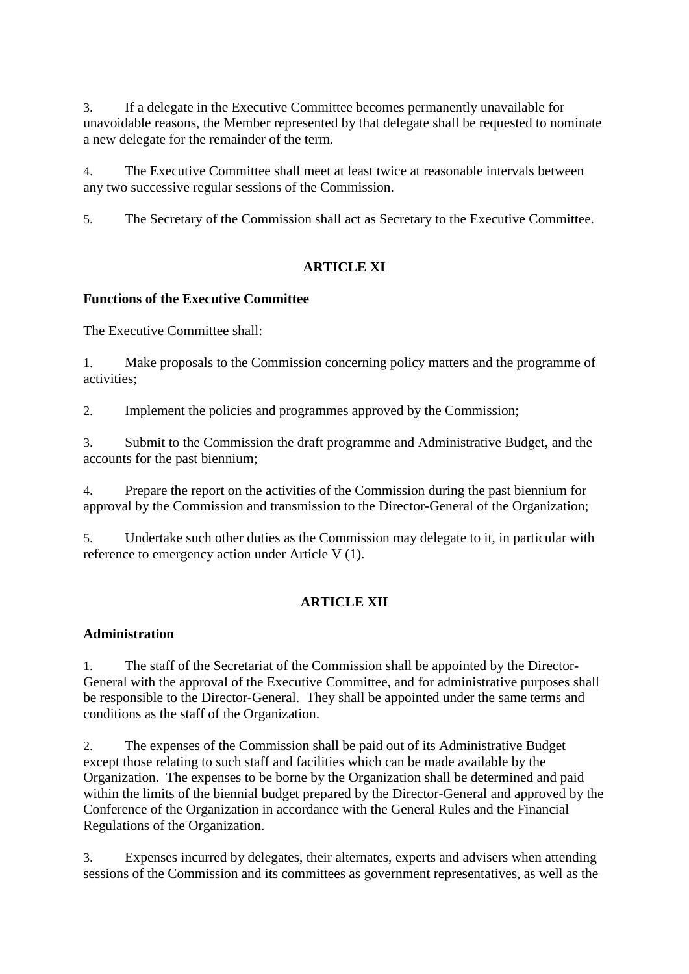3. If a delegate in the Executive Committee becomes permanently unavailable for unavoidable reasons, the Member represented by that delegate shall be requested to nominate a new delegate for the remainder of the term.

4. The Executive Committee shall meet at least twice at reasonable intervals between any two successive regular sessions of the Commission.

5. The Secretary of the Commission shall act as Secretary to the Executive Committee.

## **ARTICLE XI**

### **Functions of the Executive Committee**

The Executive Committee shall:

1. Make proposals to the Commission concerning policy matters and the programme of activities;

2. Implement the policies and programmes approved by the Commission;

3. Submit to the Commission the draft programme and Administrative Budget, and the accounts for the past biennium;

4. Prepare the report on the activities of the Commission during the past biennium for approval by the Commission and transmission to the Director-General of the Organization;

5. Undertake such other duties as the Commission may delegate to it, in particular with reference to emergency action under Article V (1).

## **ARTICLE XII**

#### **Administration**

1. The staff of the Secretariat of the Commission shall be appointed by the Director-General with the approval of the Executive Committee, and for administrative purposes shall be responsible to the Director-General. They shall be appointed under the same terms and conditions as the staff of the Organization.

2. The expenses of the Commission shall be paid out of its Administrative Budget except those relating to such staff and facilities which can be made available by the Organization. The expenses to be borne by the Organization shall be determined and paid within the limits of the biennial budget prepared by the Director-General and approved by the Conference of the Organization in accordance with the General Rules and the Financial Regulations of the Organization.

3. Expenses incurred by delegates, their alternates, experts and advisers when attending sessions of the Commission and its committees as government representatives, as well as the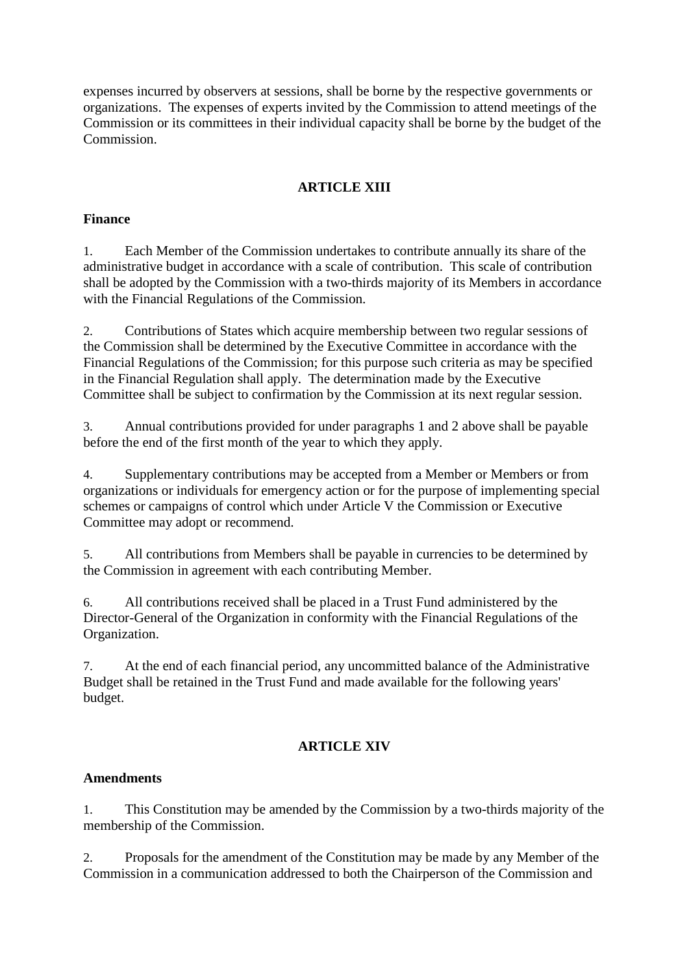expenses incurred by observers at sessions, shall be borne by the respective governments or organizations. The expenses of experts invited by the Commission to attend meetings of the Commission or its committees in their individual capacity shall be borne by the budget of the Commission.

## **ARTICLE XIII**

### **Finance**

1. Each Member of the Commission undertakes to contribute annually its share of the administrative budget in accordance with a scale of contribution. This scale of contribution shall be adopted by the Commission with a two-thirds majority of its Members in accordance with the Financial Regulations of the Commission.

2. Contributions of States which acquire membership between two regular sessions of the Commission shall be determined by the Executive Committee in accordance with the Financial Regulations of the Commission; for this purpose such criteria as may be specified in the Financial Regulation shall apply. The determination made by the Executive Committee shall be subject to confirmation by the Commission at its next regular session.

3. Annual contributions provided for under paragraphs 1 and 2 above shall be payable before the end of the first month of the year to which they apply.

4. Supplementary contributions may be accepted from a Member or Members or from organizations or individuals for emergency action or for the purpose of implementing special schemes or campaigns of control which under Article V the Commission or Executive Committee may adopt or recommend.

5. All contributions from Members shall be payable in currencies to be determined by the Commission in agreement with each contributing Member.

6. All contributions received shall be placed in a Trust Fund administered by the Director-General of the Organization in conformity with the Financial Regulations of the Organization.

7. At the end of each financial period, any uncommitted balance of the Administrative Budget shall be retained in the Trust Fund and made available for the following years' budget.

## **ARTICLE XIV**

### **Amendments**

1. This Constitution may be amended by the Commission by a two-thirds majority of the membership of the Commission.

2. Proposals for the amendment of the Constitution may be made by any Member of the Commission in a communication addressed to both the Chairperson of the Commission and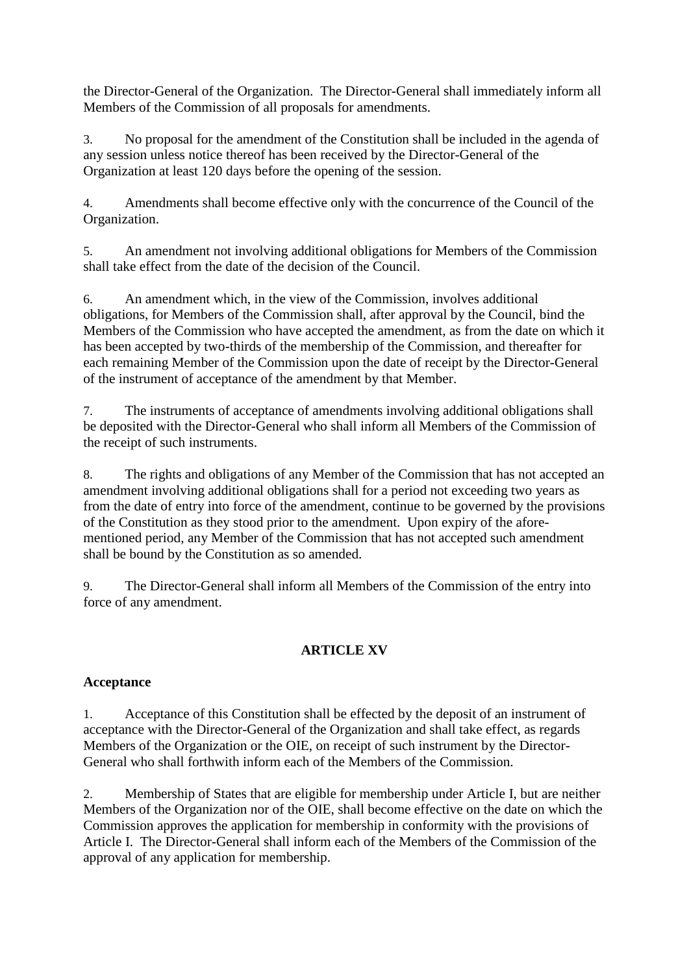the Director-General of the Organization. The Director-General shall immediately inform all Members of the Commission of all proposals for amendments.

3. No proposal for the amendment of the Constitution shall be included in the agenda of any session unless notice thereof has been received by the Director-General of the Organization at least 120 days before the opening of the session.

4. Amendments shall become effective only with the concurrence of the Council of the Organization.

5. An amendment not involving additional obligations for Members of the Commission shall take effect from the date of the decision of the Council.

6. An amendment which, in the view of the Commission, involves additional obligations, for Members of the Commission shall, after approval by the Council, bind the Members of the Commission who have accepted the amendment, as from the date on which it has been accepted by two-thirds of the membership of the Commission, and thereafter for each remaining Member of the Commission upon the date of receipt by the Director-General of the instrument of acceptance of the amendment by that Member.

7. The instruments of acceptance of amendments involving additional obligations shall be deposited with the Director-General who shall inform all Members of the Commission of the receipt of such instruments.

8. The rights and obligations of any Member of the Commission that has not accepted an amendment involving additional obligations shall for a period not exceeding two years as from the date of entry into force of the amendment, continue to be governed by the provisions of the Constitution as they stood prior to the amendment. Upon expiry of the aforementioned period, any Member of the Commission that has not accepted such amendment shall be bound by the Constitution as so amended.

9. The Director-General shall inform all Members of the Commission of the entry into force of any amendment.

# **ARTICLE XV**

# **Acceptance**

1. Acceptance of this Constitution shall be effected by the deposit of an instrument of acceptance with the Director-General of the Organization and shall take effect, as regards Members of the Organization or the OIE, on receipt of such instrument by the Director-General who shall forthwith inform each of the Members of the Commission.

2. Membership of States that are eligible for membership under Article I, but are neither Members of the Organization nor of the OIE, shall become effective on the date on which the Commission approves the application for membership in conformity with the provisions of Article I. The Director-General shall inform each of the Members of the Commission of the approval of any application for membership.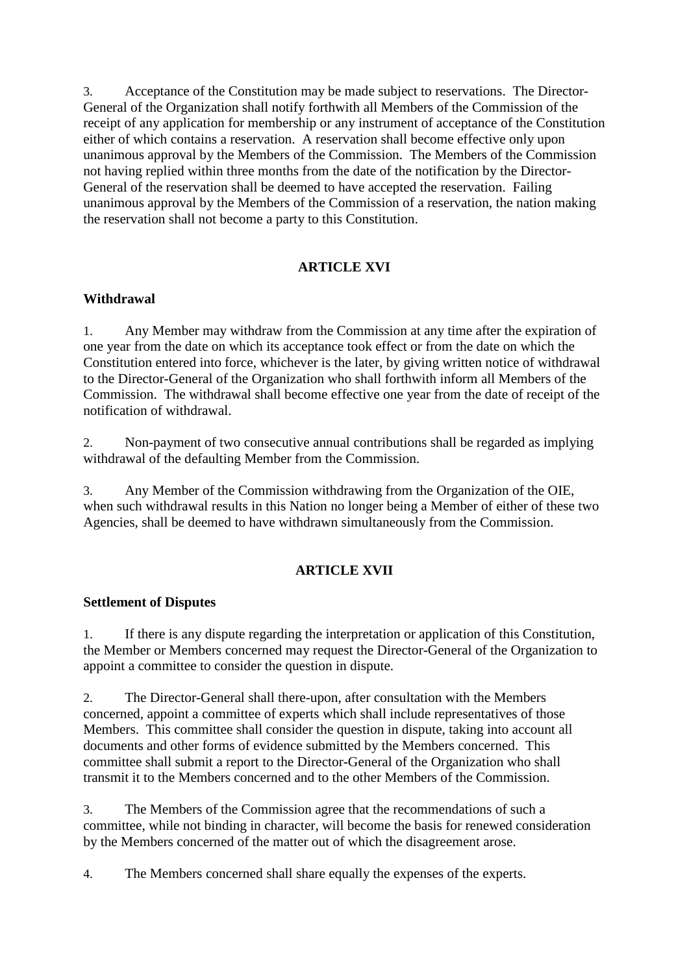3. Acceptance of the Constitution may be made subject to reservations. The Director-General of the Organization shall notify forthwith all Members of the Commission of the receipt of any application for membership or any instrument of acceptance of the Constitution either of which contains a reservation. A reservation shall become effective only upon unanimous approval by the Members of the Commission. The Members of the Commission not having replied within three months from the date of the notification by the Director-General of the reservation shall be deemed to have accepted the reservation. Failing unanimous approval by the Members of the Commission of a reservation, the nation making the reservation shall not become a party to this Constitution.

## **ARTICLE XVI**

### **Withdrawal**

1. Any Member may withdraw from the Commission at any time after the expiration of one year from the date on which its acceptance took effect or from the date on which the Constitution entered into force, whichever is the later, by giving written notice of withdrawal to the Director-General of the Organization who shall forthwith inform all Members of the Commission. The withdrawal shall become effective one year from the date of receipt of the notification of withdrawal.

2. Non-payment of two consecutive annual contributions shall be regarded as implying withdrawal of the defaulting Member from the Commission.

3. Any Member of the Commission withdrawing from the Organization of the OIE, when such withdrawal results in this Nation no longer being a Member of either of these two Agencies, shall be deemed to have withdrawn simultaneously from the Commission.

## **ARTICLE XVII**

## **Settlement of Disputes**

1. If there is any dispute regarding the interpretation or application of this Constitution, the Member or Members concerned may request the Director-General of the Organization to appoint a committee to consider the question in dispute.

2. The Director-General shall there-upon, after consultation with the Members concerned, appoint a committee of experts which shall include representatives of those Members. This committee shall consider the question in dispute, taking into account all documents and other forms of evidence submitted by the Members concerned. This committee shall submit a report to the Director-General of the Organization who shall transmit it to the Members concerned and to the other Members of the Commission.

3. The Members of the Commission agree that the recommendations of such a committee, while not binding in character, will become the basis for renewed consideration by the Members concerned of the matter out of which the disagreement arose.

4. The Members concerned shall share equally the expenses of the experts.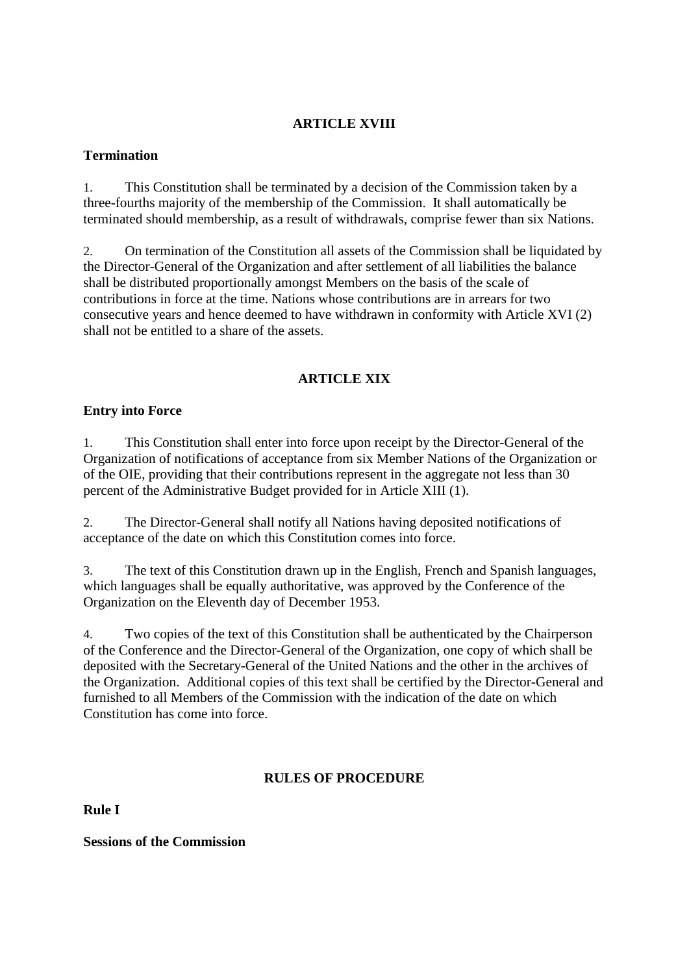## **ARTICLE XVIII**

### **Termination**

1. This Constitution shall be terminated by a decision of the Commission taken by a three-fourths majority of the membership of the Commission. It shall automatically be terminated should membership, as a result of withdrawals, comprise fewer than six Nations.

2. On termination of the Constitution all assets of the Commission shall be liquidated by the Director-General of the Organization and after settlement of all liabilities the balance shall be distributed proportionally amongst Members on the basis of the scale of contributions in force at the time. Nations whose contributions are in arrears for two consecutive years and hence deemed to have withdrawn in conformity with Article XVI (2) shall not be entitled to a share of the assets.

### **ARTICLE XIX**

### **Entry into Force**

1. This Constitution shall enter into force upon receipt by the Director-General of the Organization of notifications of acceptance from six Member Nations of the Organization or of the OIE, providing that their contributions represent in the aggregate not less than 30 percent of the Administrative Budget provided for in Article XIII (1).

2. The Director-General shall notify all Nations having deposited notifications of acceptance of the date on which this Constitution comes into force.

3. The text of this Constitution drawn up in the English, French and Spanish languages, which languages shall be equally authoritative, was approved by the Conference of the Organization on the Eleventh day of December 1953.

4. Two copies of the text of this Constitution shall be authenticated by the Chairperson of the Conference and the Director-General of the Organization, one copy of which shall be deposited with the Secretary-General of the United Nations and the other in the archives of the Organization. Additional copies of this text shall be certified by the Director-General and furnished to all Members of the Commission with the indication of the date on which Constitution has come into force.

## **RULES OF PROCEDURE**

**Rule I**

**Sessions of the Commission**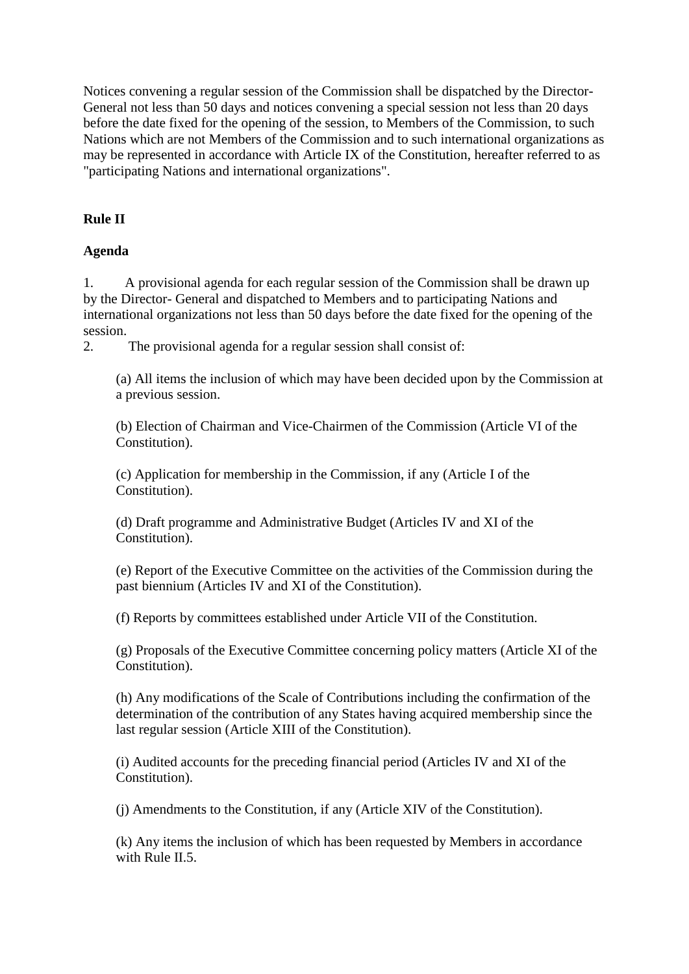Notices convening a regular session of the Commission shall be dispatched by the Director-General not less than 50 days and notices convening a special session not less than 20 days before the date fixed for the opening of the session, to Members of the Commission, to such Nations which are not Members of the Commission and to such international organizations as may be represented in accordance with Article IX of the Constitution, hereafter referred to as "participating Nations and international organizations".

## **Rule II**

### **Agenda**

1. A provisional agenda for each regular session of the Commission shall be drawn up by the Director- General and dispatched to Members and to participating Nations and international organizations not less than 50 days before the date fixed for the opening of the session.

2. The provisional agenda for a regular session shall consist of:

(a) All items the inclusion of which may have been decided upon by the Commission at a previous session.

(b) Election of Chairman and Vice-Chairmen of the Commission (Article VI of the Constitution).

(c) Application for membership in the Commission, if any (Article I of the Constitution).

(d) Draft programme and Administrative Budget (Articles IV and XI of the Constitution).

(e) Report of the Executive Committee on the activities of the Commission during the past biennium (Articles IV and XI of the Constitution).

(f) Reports by committees established under Article VII of the Constitution.

(g) Proposals of the Executive Committee concerning policy matters (Article XI of the Constitution).

(h) Any modifications of the Scale of Contributions including the confirmation of the determination of the contribution of any States having acquired membership since the last regular session (Article XIII of the Constitution).

(i) Audited accounts for the preceding financial period (Articles IV and XI of the Constitution).

(j) Amendments to the Constitution, if any (Article XIV of the Constitution).

(k) Any items the inclusion of which has been requested by Members in accordance with Rule II.5.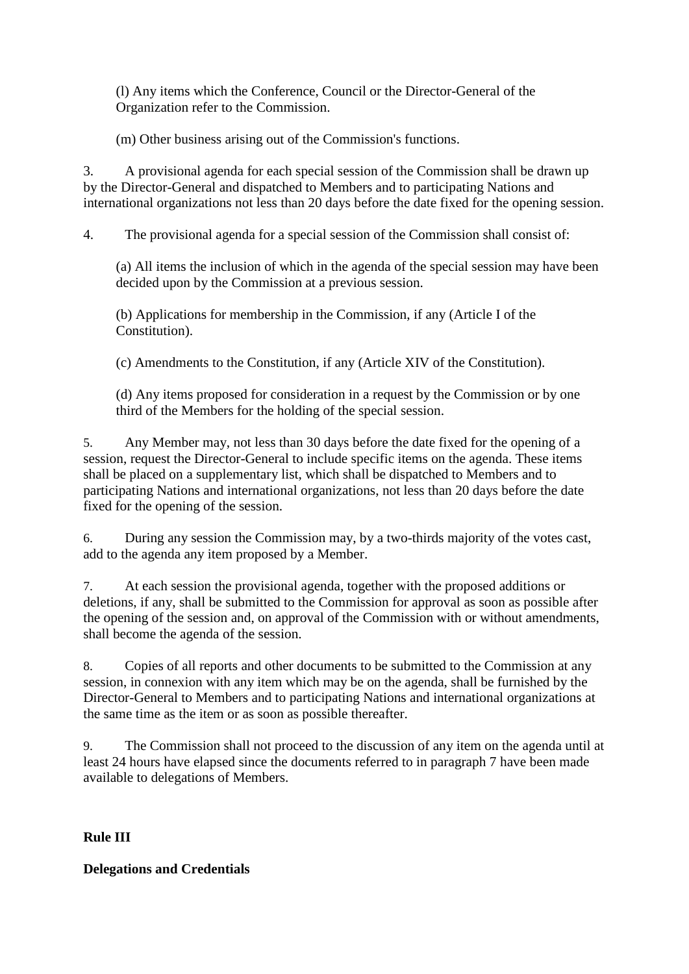(l) Any items which the Conference, Council or the Director-General of the Organization refer to the Commission.

(m) Other business arising out of the Commission's functions.

3. A provisional agenda for each special session of the Commission shall be drawn up by the Director-General and dispatched to Members and to participating Nations and international organizations not less than 20 days before the date fixed for the opening session.

4. The provisional agenda for a special session of the Commission shall consist of:

(a) All items the inclusion of which in the agenda of the special session may have been decided upon by the Commission at a previous session.

(b) Applications for membership in the Commission, if any (Article I of the Constitution).

(c) Amendments to the Constitution, if any (Article XIV of the Constitution).

(d) Any items proposed for consideration in a request by the Commission or by one third of the Members for the holding of the special session.

5. Any Member may, not less than 30 days before the date fixed for the opening of a session, request the Director-General to include specific items on the agenda. These items shall be placed on a supplementary list, which shall be dispatched to Members and to participating Nations and international organizations, not less than 20 days before the date fixed for the opening of the session.

6. During any session the Commission may, by a two-thirds majority of the votes cast, add to the agenda any item proposed by a Member.

7. At each session the provisional agenda, together with the proposed additions or deletions, if any, shall be submitted to the Commission for approval as soon as possible after the opening of the session and, on approval of the Commission with or without amendments, shall become the agenda of the session.

8. Copies of all reports and other documents to be submitted to the Commission at any session, in connexion with any item which may be on the agenda, shall be furnished by the Director-General to Members and to participating Nations and international organizations at the same time as the item or as soon as possible thereafter.

9. The Commission shall not proceed to the discussion of any item on the agenda until at least 24 hours have elapsed since the documents referred to in paragraph 7 have been made available to delegations of Members.

**Rule III**

**Delegations and Credentials**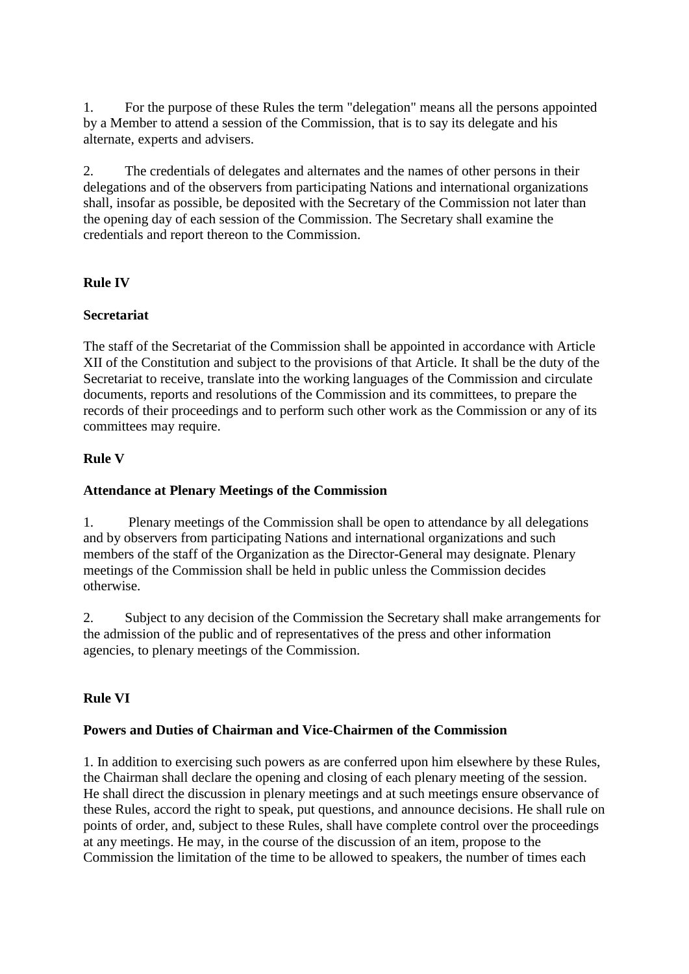1. For the purpose of these Rules the term "delegation" means all the persons appointed by a Member to attend a session of the Commission, that is to say its delegate and his alternate, experts and advisers.

2. The credentials of delegates and alternates and the names of other persons in their delegations and of the observers from participating Nations and international organizations shall, insofar as possible, be deposited with the Secretary of the Commission not later than the opening day of each session of the Commission. The Secretary shall examine the credentials and report thereon to the Commission.

# **Rule IV**

## **Secretariat**

The staff of the Secretariat of the Commission shall be appointed in accordance with Article XII of the Constitution and subject to the provisions of that Article. It shall be the duty of the Secretariat to receive, translate into the working languages of the Commission and circulate documents, reports and resolutions of the Commission and its committees, to prepare the records of their proceedings and to perform such other work as the Commission or any of its committees may require.

## **Rule V**

# **Attendance at Plenary Meetings of the Commission**

1. Plenary meetings of the Commission shall be open to attendance by all delegations and by observers from participating Nations and international organizations and such members of the staff of the Organization as the Director-General may designate. Plenary meetings of the Commission shall be held in public unless the Commission decides otherwise.

2. Subject to any decision of the Commission the Secretary shall make arrangements for the admission of the public and of representatives of the press and other information agencies, to plenary meetings of the Commission.

# **Rule VI**

## **Powers and Duties of Chairman and Vice-Chairmen of the Commission**

1. In addition to exercising such powers as are conferred upon him elsewhere by these Rules, the Chairman shall declare the opening and closing of each plenary meeting of the session. He shall direct the discussion in plenary meetings and at such meetings ensure observance of these Rules, accord the right to speak, put questions, and announce decisions. He shall rule on points of order, and, subject to these Rules, shall have complete control over the proceedings at any meetings. He may, in the course of the discussion of an item, propose to the Commission the limitation of the time to be allowed to speakers, the number of times each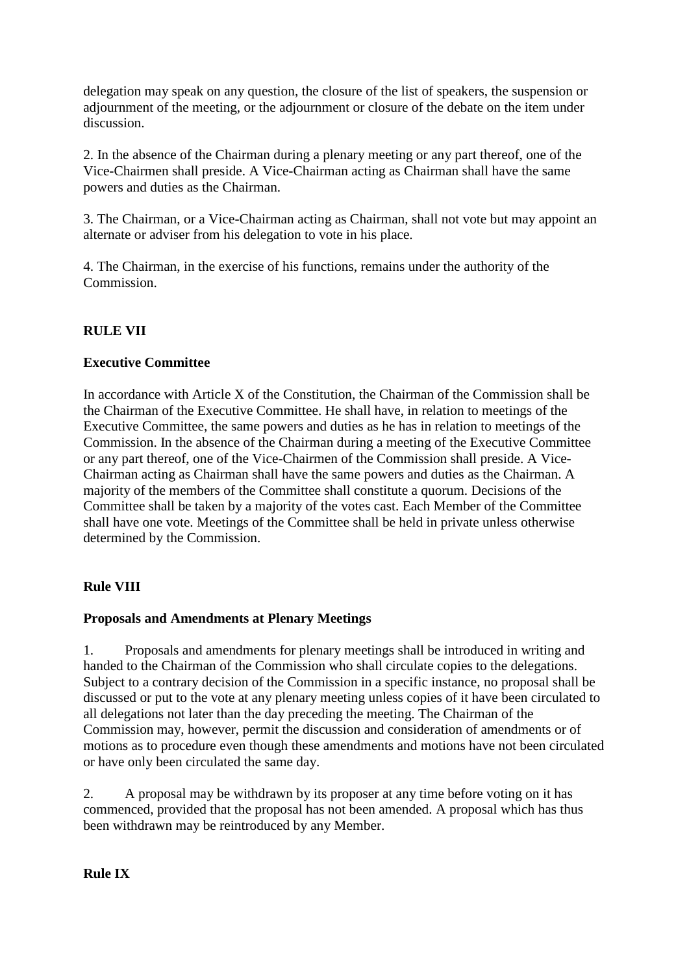delegation may speak on any question, the closure of the list of speakers, the suspension or adjournment of the meeting, or the adjournment or closure of the debate on the item under discussion.

2. In the absence of the Chairman during a plenary meeting or any part thereof, one of the Vice-Chairmen shall preside. A Vice-Chairman acting as Chairman shall have the same powers and duties as the Chairman.

3. The Chairman, or a Vice-Chairman acting as Chairman, shall not vote but may appoint an alternate or adviser from his delegation to vote in his place.

4. The Chairman, in the exercise of his functions, remains under the authority of the Commission.

# **RULE VII**

## **Executive Committee**

In accordance with Article X of the Constitution, the Chairman of the Commission shall be the Chairman of the Executive Committee. He shall have, in relation to meetings of the Executive Committee, the same powers and duties as he has in relation to meetings of the Commission. In the absence of the Chairman during a meeting of the Executive Committee or any part thereof, one of the Vice-Chairmen of the Commission shall preside. A Vice-Chairman acting as Chairman shall have the same powers and duties as the Chairman. A majority of the members of the Committee shall constitute a quorum. Decisions of the Committee shall be taken by a majority of the votes cast. Each Member of the Committee shall have one vote. Meetings of the Committee shall be held in private unless otherwise determined by the Commission.

## **Rule VIII**

## **Proposals and Amendments at Plenary Meetings**

1. Proposals and amendments for plenary meetings shall be introduced in writing and handed to the Chairman of the Commission who shall circulate copies to the delegations. Subject to a contrary decision of the Commission in a specific instance, no proposal shall be discussed or put to the vote at any plenary meeting unless copies of it have been circulated to all delegations not later than the day preceding the meeting. The Chairman of the Commission may, however, permit the discussion and consideration of amendments or of motions as to procedure even though these amendments and motions have not been circulated or have only been circulated the same day.

2. A proposal may be withdrawn by its proposer at any time before voting on it has commenced, provided that the proposal has not been amended. A proposal which has thus been withdrawn may be reintroduced by any Member.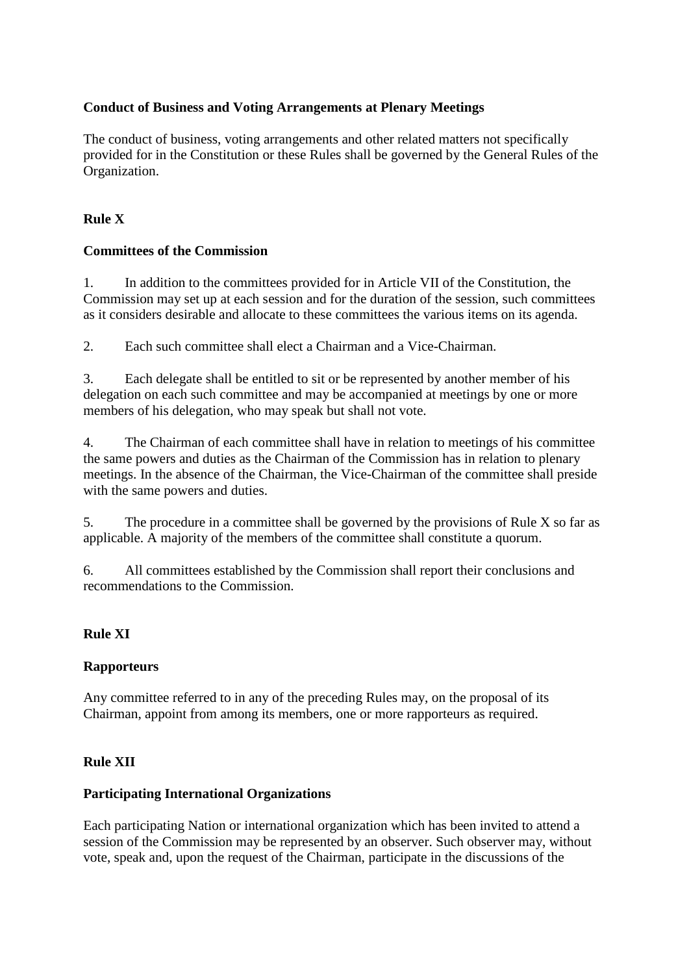## **Conduct of Business and Voting Arrangements at Plenary Meetings**

The conduct of business, voting arrangements and other related matters not specifically provided for in the Constitution or these Rules shall be governed by the General Rules of the Organization.

## **Rule X**

## **Committees of the Commission**

1. In addition to the committees provided for in Article VII of the Constitution, the Commission may set up at each session and for the duration of the session, such committees as it considers desirable and allocate to these committees the various items on its agenda.

2. Each such committee shall elect a Chairman and a Vice-Chairman.

3. Each delegate shall be entitled to sit or be represented by another member of his delegation on each such committee and may be accompanied at meetings by one or more members of his delegation, who may speak but shall not vote.

4. The Chairman of each committee shall have in relation to meetings of his committee the same powers and duties as the Chairman of the Commission has in relation to plenary meetings. In the absence of the Chairman, the Vice-Chairman of the committee shall preside with the same powers and duties.

5. The procedure in a committee shall be governed by the provisions of Rule X so far as applicable. A majority of the members of the committee shall constitute a quorum.

6. All committees established by the Commission shall report their conclusions and recommendations to the Commission.

## **Rule XI**

## **Rapporteurs**

Any committee referred to in any of the preceding Rules may, on the proposal of its Chairman, appoint from among its members, one or more rapporteurs as required.

## **Rule XII**

## **Participating International Organizations**

Each participating Nation or international organization which has been invited to attend a session of the Commission may be represented by an observer. Such observer may, without vote, speak and, upon the request of the Chairman, participate in the discussions of the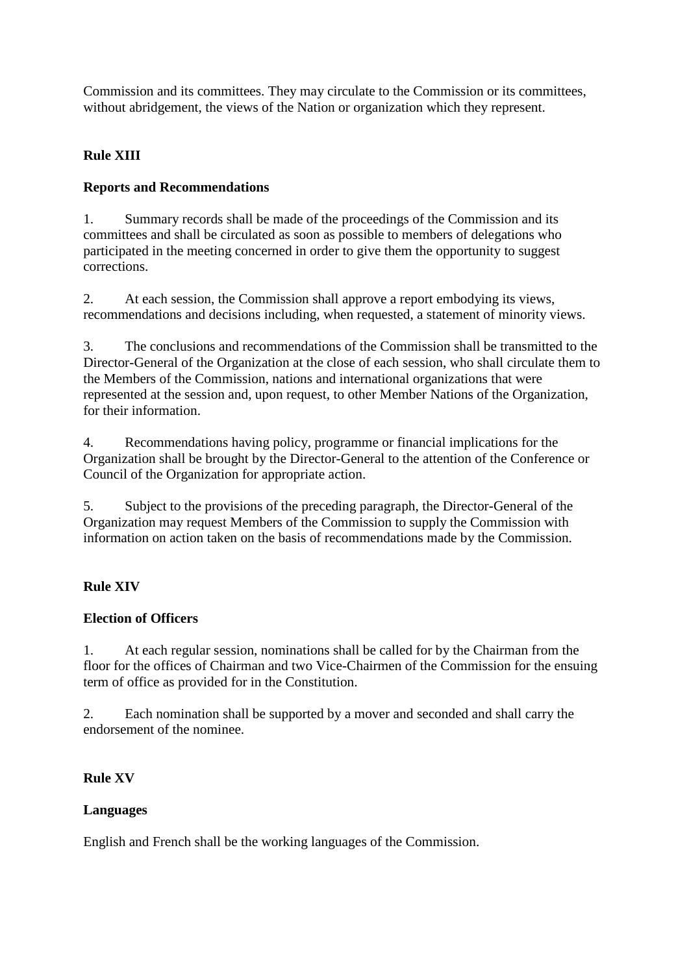Commission and its committees. They may circulate to the Commission or its committees, without abridgement, the views of the Nation or organization which they represent.

# **Rule XIII**

# **Reports and Recommendations**

1. Summary records shall be made of the proceedings of the Commission and its committees and shall be circulated as soon as possible to members of delegations who participated in the meeting concerned in order to give them the opportunity to suggest corrections.

2. At each session, the Commission shall approve a report embodying its views, recommendations and decisions including, when requested, a statement of minority views.

3. The conclusions and recommendations of the Commission shall be transmitted to the Director-General of the Organization at the close of each session, who shall circulate them to the Members of the Commission, nations and international organizations that were represented at the session and, upon request, to other Member Nations of the Organization, for their information.

4. Recommendations having policy, programme or financial implications for the Organization shall be brought by the Director-General to the attention of the Conference or Council of the Organization for appropriate action.

5. Subject to the provisions of the preceding paragraph, the Director-General of the Organization may request Members of the Commission to supply the Commission with information on action taken on the basis of recommendations made by the Commission.

# **Rule XIV**

## **Election of Officers**

1. At each regular session, nominations shall be called for by the Chairman from the floor for the offices of Chairman and two Vice-Chairmen of the Commission for the ensuing term of office as provided for in the Constitution.

2. Each nomination shall be supported by a mover and seconded and shall carry the endorsement of the nominee.

# **Rule XV**

## **Languages**

English and French shall be the working languages of the Commission.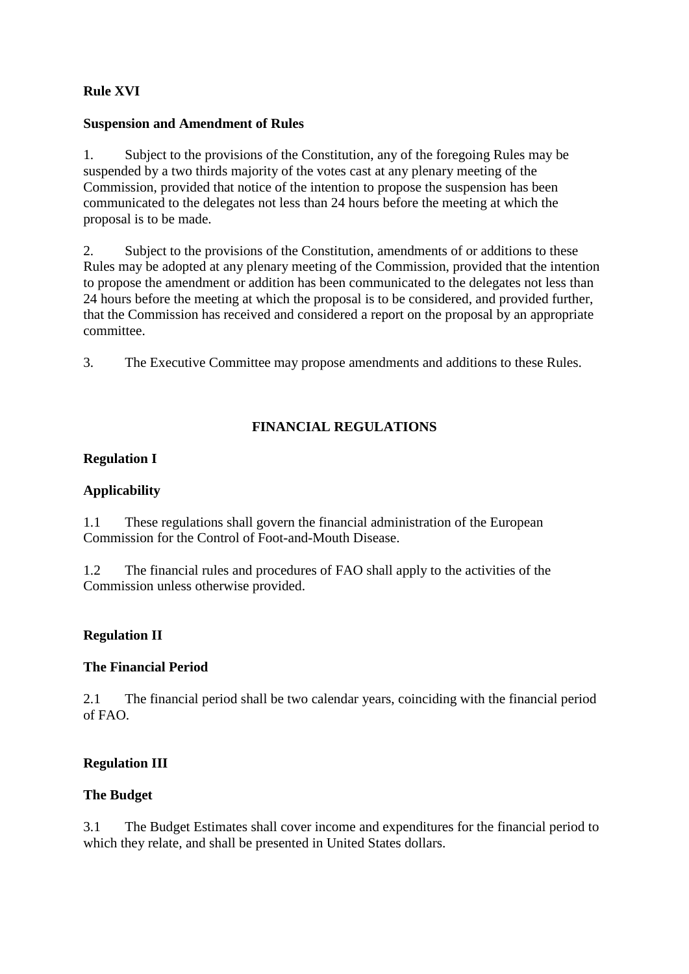# **Rule XVI**

### **Suspension and Amendment of Rules**

1. Subject to the provisions of the Constitution, any of the foregoing Rules may be suspended by a two thirds majority of the votes cast at any plenary meeting of the Commission, provided that notice of the intention to propose the suspension has been communicated to the delegates not less than 24 hours before the meeting at which the proposal is to be made.

2. Subject to the provisions of the Constitution, amendments of or additions to these Rules may be adopted at any plenary meeting of the Commission, provided that the intention to propose the amendment or addition has been communicated to the delegates not less than 24 hours before the meeting at which the proposal is to be considered, and provided further, that the Commission has received and considered a report on the proposal by an appropriate committee.

3. The Executive Committee may propose amendments and additions to these Rules.

# **FINANCIAL REGULATIONS**

## **Regulation I**

## **Applicability**

1.1 These regulations shall govern the financial administration of the European Commission for the Control of Foot-and-Mouth Disease.

1.2 The financial rules and procedures of FAO shall apply to the activities of the Commission unless otherwise provided.

## **Regulation II**

#### **The Financial Period**

2.1 The financial period shall be two calendar years, coinciding with the financial period of FAO.

## **Regulation III**

#### **The Budget**

3.1 The Budget Estimates shall cover income and expenditures for the financial period to which they relate, and shall be presented in United States dollars.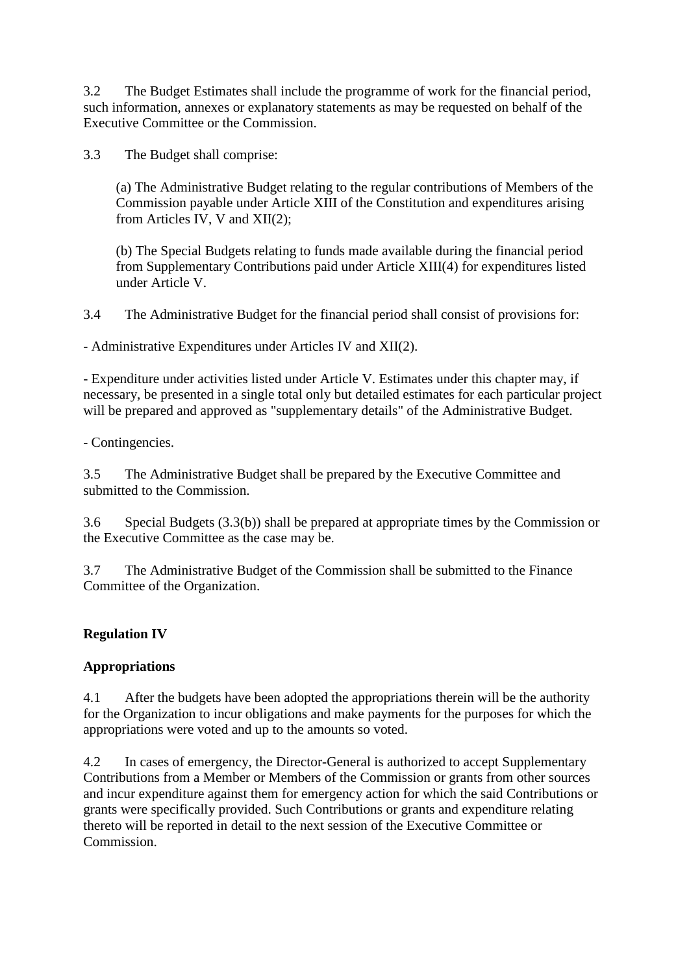3.2 The Budget Estimates shall include the programme of work for the financial period, such information, annexes or explanatory statements as may be requested on behalf of the Executive Committee or the Commission.

3.3 The Budget shall comprise:

(a) The Administrative Budget relating to the regular contributions of Members of the Commission payable under Article XIII of the Constitution and expenditures arising from Articles IV, V and XII(2);

(b) The Special Budgets relating to funds made available during the financial period from Supplementary Contributions paid under Article XIII(4) for expenditures listed under Article V.

3.4 The Administrative Budget for the financial period shall consist of provisions for:

- Administrative Expenditures under Articles IV and XII(2).

- Expenditure under activities listed under Article V. Estimates under this chapter may, if necessary, be presented in a single total only but detailed estimates for each particular project will be prepared and approved as "supplementary details" of the Administrative Budget.

- Contingencies.

3.5 The Administrative Budget shall be prepared by the Executive Committee and submitted to the Commission.

3.6 Special Budgets (3.3(b)) shall be prepared at appropriate times by the Commission or the Executive Committee as the case may be.

3.7 The Administrative Budget of the Commission shall be submitted to the Finance Committee of the Organization.

## **Regulation IV**

## **Appropriations**

4.1 After the budgets have been adopted the appropriations therein will be the authority for the Organization to incur obligations and make payments for the purposes for which the appropriations were voted and up to the amounts so voted.

4.2 In cases of emergency, the Director-General is authorized to accept Supplementary Contributions from a Member or Members of the Commission or grants from other sources and incur expenditure against them for emergency action for which the said Contributions or grants were specifically provided. Such Contributions or grants and expenditure relating thereto will be reported in detail to the next session of the Executive Committee or Commission.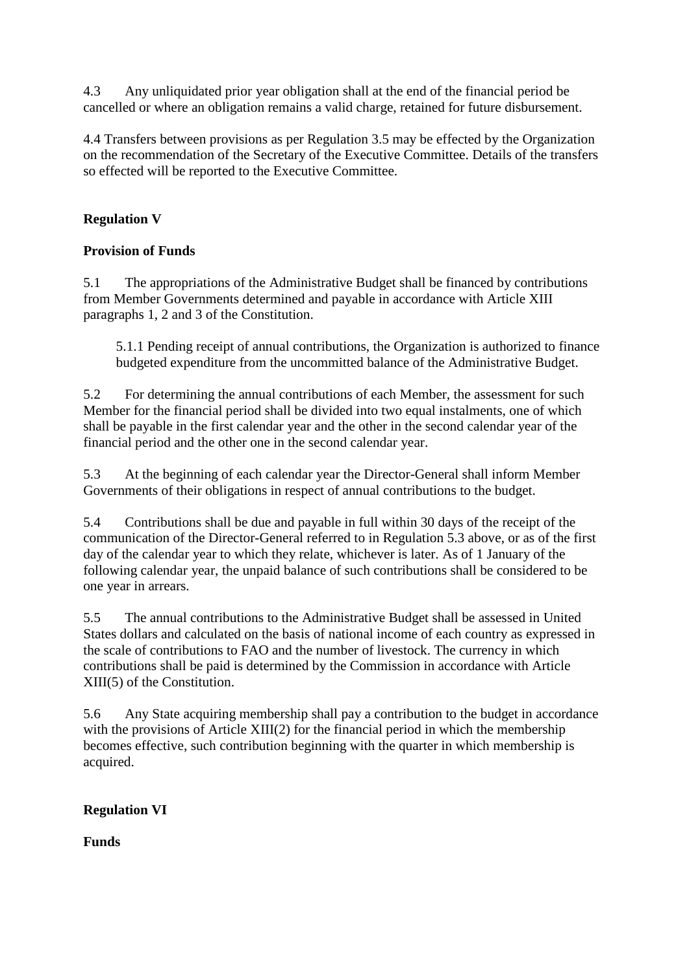4.3 Any unliquidated prior year obligation shall at the end of the financial period be cancelled or where an obligation remains a valid charge, retained for future disbursement.

4.4 Transfers between provisions as per Regulation 3.5 may be effected by the Organization on the recommendation of the Secretary of the Executive Committee. Details of the transfers so effected will be reported to the Executive Committee.

# **Regulation V**

## **Provision of Funds**

5.1 The appropriations of the Administrative Budget shall be financed by contributions from Member Governments determined and payable in accordance with Article XIII paragraphs 1, 2 and 3 of the Constitution.

5.1.1 Pending receipt of annual contributions, the Organization is authorized to finance budgeted expenditure from the uncommitted balance of the Administrative Budget.

5.2 For determining the annual contributions of each Member, the assessment for such Member for the financial period shall be divided into two equal instalments, one of which shall be payable in the first calendar year and the other in the second calendar year of the financial period and the other one in the second calendar year.

5.3 At the beginning of each calendar year the Director-General shall inform Member Governments of their obligations in respect of annual contributions to the budget.

5.4 Contributions shall be due and payable in full within 30 days of the receipt of the communication of the Director-General referred to in Regulation 5.3 above, or as of the first day of the calendar year to which they relate, whichever is later. As of 1 January of the following calendar year, the unpaid balance of such contributions shall be considered to be one year in arrears.

5.5 The annual contributions to the Administrative Budget shall be assessed in United States dollars and calculated on the basis of national income of each country as expressed in the scale of contributions to FAO and the number of livestock. The currency in which contributions shall be paid is determined by the Commission in accordance with Article XIII(5) of the Constitution.

5.6 Any State acquiring membership shall pay a contribution to the budget in accordance with the provisions of Article XIII(2) for the financial period in which the membership becomes effective, such contribution beginning with the quarter in which membership is acquired.

## **Regulation VI**

**Funds**